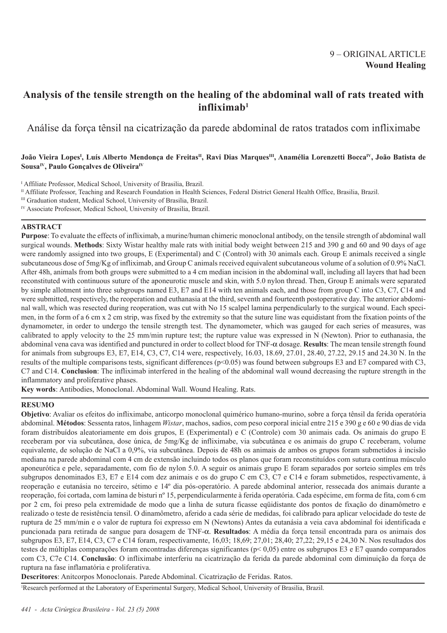# **Analysis of the tensile strength on the healing of the abdominal wall of rats treated with infliximab1**

Análise da força tênsil na cicatrização da parede abdominal de ratos tratados com infliximabe

# João Vieira Lopes<sup>i</sup>, Luís Alberto Mendonça de Freitas<sup>n</sup>, Ravi Dias Marques<sup>m</sup>, Anamélia Lorenzetti Bocca<sup>iv</sup>, João Batista de Sousa<sup>IV</sup>, Paulo Gonçalves de Oliveira<sup>IV</sup>

<sup>I</sup> Affiliate Professor, Medical School, University of Brasilia, Brazil.

- II Affiliate Professor, Teaching and Research Foundation in Health Sciences, Federal District General Health Office, Brasilia, Brazil.
- III Graduation student, Medical School, University of Brasilia, Brazil.
- IV Associate Professor, Medical School, University of Brasilia, Brazil.

# **ABSTRACT**

**Purpose**: To evaluate the effects of infliximab, a murine/human chimeric monoclonal antibody, on the tensile strength of abdominal wall surgical wounds. **Methods**: Sixty Wistar healthy male rats with initial body weight between 215 and 390 g and 60 and 90 days of age were randomly assigned into two groups, E (Experimental) and C (Control) with 30 animals each. Group E animals received a single subcutaneous dose of 5mg/Kg of infliximab, and Group C animals received equivalent subcutaneous volume of a solution of 0.9% NaCl. After 48h, animals from both groups were submitted to a 4 cm median incision in the abdominal wall, including all layers that had been reconstituted with continuous suture of the aponeurotic muscle and skin, with 5.0 nylon thread. Then, Group E animals were separated by simple allotment into three subgroups named E3, E7 and E14 with ten animals each, and those from group C into C3, C7, C14 and were submitted, respectively, the reoperation and euthanasia at the third, seventh and fourteenth postoperative day. The anterior abdominal wall, which was resected during reoperation, was cut with No 15 scalpel lamina perpendicularly to the surgical wound. Each specimen, in the form of a 6 cm x 2 cm strip, was fixed by the extremity so that the suture line was equidistant from the fixation points of the dynamometer, in order to undergo the tensile strength test. The dynamometer, which was gauged for each series of measures, was calibrated to apply velocity to the 25 mm/min rupture test; the rupture value was expressed in N (Newton). Prior to euthanasia, the abdominal vena cava was identified and punctured in order to collect blood for TNF-α dosage. **Results**: The mean tensile strength found for animals from subgroups E3, E7, E14, C3, C7, C14 were, respectively, 16.03, 18.69, 27.01, 28.40, 27.22, 29.15 and 24.30 N. In the results of the multiple comparisons tests, significant differences (p<0.05) was found between subgroups E3 and E7 compared with C3, C7 and C14. **Conclusion**: The infliximab interfered in the healing of the abdominal wall wound decreasing the rupture strength in the inflammatory and proliferative phases.

**Key words**: Antibodies, Monoclonal. Abdominal Wall. Wound Healing. Rats.

# **RESUMO**

**Objetivo**: Avaliar os efeitos do infliximabe, anticorpo monoclonal quimérico humano-murino, sobre a força tênsil da ferida operatória abdominal. **Métodos**: Sessenta ratos, linhagem *Wistar*, machos, sadios, com peso corporal inicial entre 215 e 390 g e 60 e 90 dias de vida foram distribuídos aleatoriamente em dois grupos, E (Experimental) e C (Controle) com 30 animais cada. Os animais do grupo E receberam por via subcutânea, dose única, de 5mg/Kg de infliximabe, via subcutânea e os animais do grupo C receberam, volume equivalente, de solução de NaCl a 0,9%, via subcutânea. Depois de 48h os animais de ambos os grupos foram submetidos à incisão mediana na parede abdominal com 4 cm de extensão incluindo todos os planos que foram reconstituídos com sutura contínua músculo aponeurótica e pele, separadamente, com fio de nylon 5.0. A seguir os animais grupo E foram separados por sorteio simples em três subgrupos denominados E3, E7 e E14 com dez animais e os do grupo C em C3, C7 e C14 e foram submetidos, respectivamente, à reoperação e eutanásia no terceiro, sétimo e 14º dia pós-operatório. A parede abdominal anterior, ressecada dos animais durante a reoperação, foi cortada, com lamina de bisturi nº 15, perpendicularmente à ferida operatória. Cada espécime, em forma de fita, com 6 cm por 2 cm, foi preso pela extremidade de modo que a linha de sutura ficasse eqüidistante dos pontos de fixação do dinamômetro e realizado o teste de resistência tensil. O dinamômetro, aferido a cada série de medidas, foi calibrado para aplicar velocidade do teste de ruptura de 25 mm/min e o valor de ruptura foi expresso em N (Newtons) Antes da eutanásia a veia cava abdominal foi identificada e puncionada para retirada de sangue para dosagem de TNF-α. **Resultados**: A média da força tensil encontrada para os animais dos subgrupos E3, E7, E14, C3, C7 e C14 foram, respectivamente, 16,03; 18,69; 27,01; 28,40; 27,22; 29,15 e 24,30 N. Nos resultados dos testes de múltiplas comparações foram encontradas diferenças significantes (p< 0,05) entre os subgrupos E3 e E7 quando comparados com C3, C7e C14. **Conclusão**: O infliximabe interferiu na cicatrização da ferida da parede abdominal com diminuição da força de ruptura na fase inflamatória e proliferativa.

**Descritores**: Anitcorpos Monoclonais. Parede Abdominal. Cicatrização de Feridas. Ratos.

1 Research performed at the Laboratory of Experimental Surgery, Medical School, University of Brasilia, Brazil.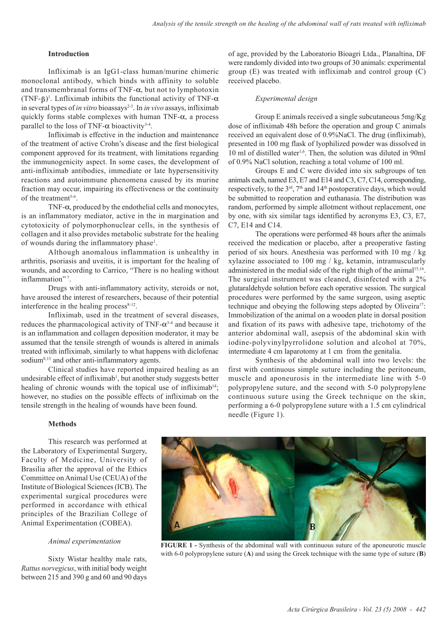## **Introduction**

Infliximab is an IgG1-class human/murine chimeric monoclonal antibody, which binds with affinity to soluble and transmembranal forms of  $TNF-\alpha$ , but not to lymphotoxin (TNF- $\beta$ )<sup>1</sup>. Lnfliximab inhibits the functional activity of TNF- $\alpha$ in several types of *in vitro* bioassays<sup>2-3</sup>. In *in vivo* assays, infliximab quickly forms stable complexes with human TNF-α, a process parallel to the loss of TNF- $\alpha$  bioactivity<sup>3-4</sup>.

Infliximab is effective in the induction and maintenance of the treatment of active Crohn's disease and the first biological component approved for its treatment, with limitations regarding the immunogenicity aspect. In some cases, the development of anti-infliximab antibodies, immediate or late hypersensitivity reactions and autoimmune phenomena caused by its murine fraction may occur, impairing its effectiveness or the continuity of the treatment<sup>5-6</sup>.

TNF-α, produced by the endothelial cells and monocytes, is an inflammatory mediator, active in the in margination and cytotoxicity of polymorphonuclear cells, in the synthesis of collagen and it also provides metabolic substrate for the healing of wounds during the inflammatory phase<sup>1</sup>.

Although anomalous inflammation is unhealthy in arthritis, psoriasis and uveitis, it is important for the healing of wounds, and according to Carrico, "There is no healing without inflammation"?.

Drugs with anti-inflammatory activity, steroids or not, have aroused the interest of researchers, because of their potential interference in the healing process<sup>8-12</sup>.

Infliximab, used in the treatment of several diseases, reduces the pharmacological activity of TNF- $\alpha^{3-4}$  and because it is an inflammation and collagen deposition moderator, it may be assumed that the tensile strength of wounds is altered in animals treated with infliximab, similarly to what happens with diclofenac sodium<sup>8,13</sup> and other anti-inflammatory agents.

Clinical studies have reported impaired healing as an undesirable effect of infliximab<sup>1</sup>, but another study suggests better healing of chronic wounds with the topical use of infliximab<sup>14</sup>; however, no studies on the possible effects of infliximab on the tensile strength in the healing of wounds have been found.

of age, provided by the Laboratorio Bioagri Ltda., Planaltina, DF were randomly divided into two groups of 30 animals: experimental group (E) was treated with infliximab and control group (C) received placebo.

## *Experimental design*

Group E animals received a single subcutaneous 5mg/Kg dose of infliximab 48h before the operation and group C animals received an equivalent dose of 0.9%NaCl. The drug (infliximab), presented in 100 mg flask of lyophilized powder was dissolved in 10 ml of distilled water<sup>1,6</sup>. Then, the solution was diluted in 90ml of 0.9% NaCl solution, reaching a total volume of 100 ml.

Groups E and C were divided into six subgroups of ten animals each, named E3, E7 and E14 and C3, C7, C14, corresponding, respectively, to the 3<sup>rd</sup>, 7<sup>th</sup> and 14<sup>th</sup> postoperative days, which would be submitted to reoperation and euthanasia. The distribution was random, performed by simple allotment without replacement, one by one, with six similar tags identified by acronyms E3, C3, E7, C7, E14 and C14.

The operations were performed 48 hours after the animals received the medication or placebo, after a preoperative fasting period of six hours. Anesthesia was performed with 10 mg / kg xylazine associated to 100 mg / kg, ketamin, intramuscularly administered in the medial side of the right thigh of the animal<sup>15,16</sup>. The surgical instrument was cleaned, disinfected with a 2% glutaraldehyde solution before each operative session. The surgical procedures were performed by the same surgeon, using aseptic technique and obeying the following steps adopted by Oliveira<sup>17</sup>: Immobilization of the animal on a wooden plate in dorsal position and fixation of its paws with adhesive tape, trichotomy of the anterior abdominal wall, asepsis of the abdominal skin with iodine-polyvinylpyrrolidone solution and alcohol at 70%, intermediate 4 cm laparotomy at 1 cm from the genitalia.

Synthesis of the abdominal wall into two levels: the first with continuous simple suture including the peritoneum, muscle and aponeurosis in the intermediate line with 5-0 polypropylene suture, and the second with 5-0 polypropylene continuous suture using the Greek technique on the skin, performing a 6-0 polypropylene suture with a 1.5 cm cylindrical needle (Figure 1).

#### **Methods**

This research was performed at the Laboratory of Experimental Surgery, Faculty of Medicine, University of Brasilia after the approval of the Ethics Committee on Animal Use (CEUA) of the Institute of Biological Sciences (ICB). The experimental surgical procedures were performed in accordance with ethical principles of the Brazilian College of Animal Experimentation (COBEA).

#### *Animal experimentation*

Sixty Wistar healthy male rats, *Rattus norvegicus*, with initial body weight between 215 and 390 g and 60 and 90 days



**FIGURE 1 -** Synthesis of the abdominal wall with continuous suture of the aponeurotic muscle with 6-0 polypropylene suture (**A**) and using the Greek technique with the same type of suture (**B**)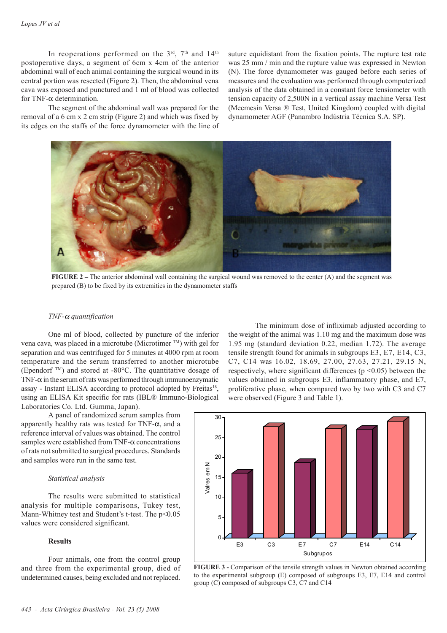In reoperations performed on the  $3<sup>rd</sup>$ ,  $7<sup>th</sup>$  and  $14<sup>th</sup>$ postoperative days, a segment of 6cm x 4cm of the anterior abdominal wall of each animal containing the surgical wound in its central portion was resected (Figure 2). Then, the abdominal vena cava was exposed and punctured and 1 ml of blood was collected for TNF- $\alpha$  determination.

The segment of the abdominal wall was prepared for the removal of a 6 cm x 2 cm strip (Figure 2) and which was fixed by its edges on the staffs of the force dynamometer with the line of suture equidistant from the fixation points. The rupture test rate was 25 mm / min and the rupture value was expressed in Newton (N). The force dynamometer was gauged before each series of measures and the evaluation was performed through computerized analysis of the data obtained in a constant force tensiometer with tension capacity of 2,500N in a vertical assay machine Versa Test (Mecmesin Versa ® Test, United Kingdom) coupled with digital dynamometer AGF (Panambro Indústria Técnica S.A. SP).



**FIGURE 2** – The anterior abdominal wall containing the surgical wound was removed to the center (A) and the segment was prepared (B) to be fixed by its extremities in the dynamometer staffs

## *TNF-*α *quantification*

One ml of blood, collected by puncture of the inferior vena cava, was placed in a microtube (Microtimer TM) with gel for separation and was centrifuged for 5 minutes at 4000 rpm at room temperature and the serum transferred to another microtube (Ependorf TM) and stored at -80°C. The quantitative dosage of TNF- $\alpha$  in the serum of rats was performed through immunoenzymatic assay - Instant ELISA according to protocol adopted by Freitas<sup>18</sup>, using an ELISA Kit specific for rats (IBL® Immuno-Biological Laboratories Co. Ltd. Gumma, Japan).

30 A panel of randomized serum samples from apparently healthy rats was tested for TNF- $\alpha$ , and a reference interval of values was obtained. The control samples were established from TNF- $\alpha$  concentrations

The minimum dose of infliximab adjusted according to the weight of the animal was 1.10 mg and the maximum dose was 1.95 mg (standard deviation 0.22, median 1.72). The average tensile strength found for animals in subgroups E3, E7, E14, C3, C7, C14 was 16.02, 18.69, 27.00, 27.63, 27.21, 29.15 N, respectively, where significant differences ( $p \le 0.05$ ) between the values obtained in subgroups E3, inflammatory phase, and E7, proliferative phase, when compared two by two with C3 and C7 were observed (Figure 3 and Table 1).



and samples were run in the same test. *Statistical analysis*

The results were submitted to statistical analysis for multiple comparisons, Tukey test, Mann-Whitney test and Student's t-test. The  $p<0.05$ values were considered significant.

of rats not submitted to surgical procedures. Standards

### **Results**

Four animals, one from the control group and three from the experimental group, died of undetermined causes, being excluded and not replaced.

**FIGURE 3 -** Comparison of the tensile strength values in Newton obtained according to the experimental subgroup (E) composed of subgroups E3, E7, E14 and control group (C) composed of subgroups C3, C7 and C14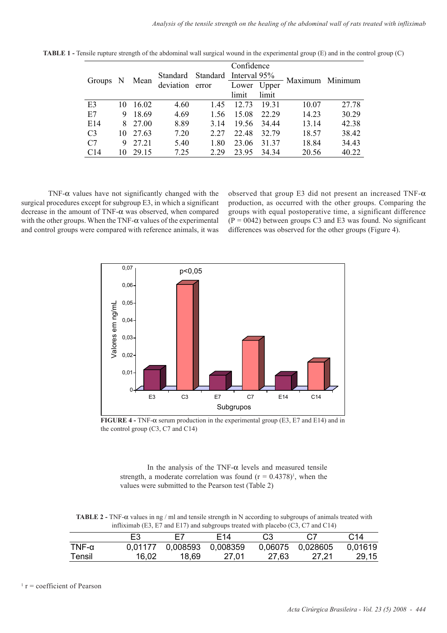|                 |    |          |           |       | Confidence            |       | Maximum Minimum |       |
|-----------------|----|----------|-----------|-------|-----------------------|-------|-----------------|-------|
|                 |    |          | Standard  |       | Standard Interval 95% |       |                 |       |
| Groups N        |    | Mean     | deviation | error | Lower Upper           |       |                 |       |
|                 |    |          |           |       | limit                 | limit |                 |       |
| E <sub>3</sub>  | 10 | 16.02    | 4.60      | 1.45  | 12.73                 | 19.31 | 10.07           | 27.78 |
| E7              | 9  | 18.69    | 4.69      | 1.56  | 15.08                 | 22.29 | 14.23           | 30.29 |
| E14             |    | 8 27.00  | 8.89      | 3.14  | 19.56                 | 34.44 | 13.14           | 42.38 |
| C <sub>3</sub>  |    | 10 27.63 | 7.20      | 2.27  | 22.48                 | 32.79 | 18.57           | 38.42 |
| C7              | 9  | 27.21    | 5.40      | 1.80  | 23.06                 | 31.37 | 18.84           | 34.43 |
| C <sub>14</sub> | 10 | 29.15    | 7.25      | 2.29  | 23.95                 | 34.34 | 20.56           | 40.22 |

**TABLE 1 -** Tensile rupture strength of the abdominal wall surgical wound in the experimental group (E) and in the control group (C)

TNF- $\alpha$  values have not significantly changed with the surgical procedures except for subgroup E3, in which a significant decrease in the amount of TNF-α was observed, when compared with the other groups. When the TNF- $\alpha$  values of the experimental and control groups were compared with reference animals, it was observed that group E3 did not present an increased TNF- $\alpha$ production, as occurred with the other groups. Comparing the groups with equal postoperative time, a significant difference  $(P = 0042)$  between groups C3 and E3 was found. No significant differences was observed for the other groups (Figure 4).



**FIGURE 4 -** TNF-α serum production in the experimental group (E3, E7 and E14) and in the control group (C3, C7 and C14)

In the analysis of the TNF- $\alpha$  levels and measured tensile strength, a moderate correlation was found  $(r = 0.4378)^1$ , when the values were submitted to the Pearson test (Table 2)

**TABLE 2 -** TNF-α values in ng / ml and tensile strength in N according to subgroups of animals treated with infliximab (E3, E7 and E17) and subgroups treated with placebo (C3, C7 and C14)

|          | E3    | E7                        | F14   | C <sub>3</sub> |                  | C <sub>14</sub> |
|----------|-------|---------------------------|-------|----------------|------------------|-----------------|
| TNF- $α$ |       | 0,01177 0,008593 0,008359 |       |                | 0,06075 0,028605 | 0.01619         |
| Tensil   | 16,02 | 18,69                     | 27,01 | 27,63          | 27.21            | 29,15           |
|          |       |                           |       |                |                  |                 |

 $\Gamma$  r = coefficient of Pearson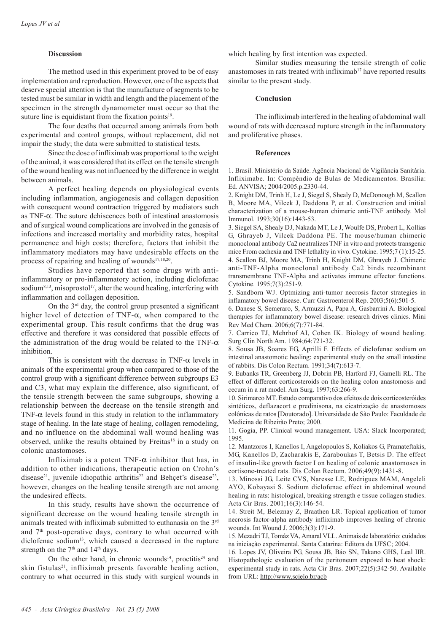## **Discussion**

The method used in this experiment proved to be of easy implementation and reproduction. However, one of the aspects that deserve special attention is that the manufacture of segments to be tested must be similar in width and length and the placement of the specimen in the strength dynamometer must occur so that the suture line is equidistant from the fixation points $19$ .

The four deaths that occurred among animals from both experimental and control groups, without replacement, did not impair the study; the data were submitted to statistical tests.

Since the dose of infliximab was proportional to the weight of the animal, it was considered that its effect on the tensile strength of the wound healing was not influenced by the difference in weight between animals.

A perfect healing depends on physiological events including inflammation, angiogenesis and collagen deposition with consequent wound contraction triggered by mediators such as TNF-α. The suture dehiscences both of intestinal anastomosis and of surgical wound complications are involved in the genesis of infections and increased mortality and morbidity rates, hospital permanence and high costs; therefore, factors that inhibit the inflammatory mediators may have undesirable effects on the process of repairing and healing of wounds<sup>17,18,20</sup>.

Studies have reported that some drugs with antiinflammatory or pro-inflammatory action, including diclofenac sodium $8,13$ , misoprostol<sup>17</sup>, alter the wound healing, interfering with inflammation and collagen deposition.

On the  $3<sup>rd</sup>$  day, the control group presented a significant higher level of detection of TNF-α, when compared to the experimental group. This result confirms that the drug was effective and therefore it was considered that possible effects of the administration of the drug would be related to the TNF- $\alpha$ inhibition.

This is consistent with the decrease in TNF- $\alpha$  levels in animals of the experimental group when compared to those of the control group with a significant difference between subgroups E3 and C3, what may explain the difference, also significant, of the tensile strength between the same subgroups, showing a relationship between the decrease on the tensile strength and TNF- $\alpha$  levels found in this study in relation to the inflammatory stage of healing. In the late stage of healing, collagen remodeling, and no influence on the abdominal wall wound healing was observed, unlike the results obtained by Freitas<sup>18</sup> in a study on colonic anastomoses.

Infliximab is a potent  $TNF-\alpha$  inhibitor that has, in addition to other indications, therapeutic action on Crohn's disease<sup>21</sup>, juvenile idiopathic arthritis<sup>22</sup> and Behçet's disease<sup>23</sup>, however, changes on the healing tensile strength are not among the undesired effects.

In this study, results have shown the occurrence of significant decrease on the wound healing tensile strength in animals treated with infliximab submitted to euthanasia on the 3rd and 7<sup>th</sup> post-operative days, contrary to what occurred with diclofenac sodium<sup>13</sup>, which caused a decreased in the rupture strength on the  $7<sup>th</sup>$  and  $14<sup>th</sup>$  days.

On the other hand, in chronic wounds<sup>14</sup>, proctitis<sup>24</sup> and skin fistulas<sup>21</sup>, infliximab presents favorable healing action, contrary to what occurred in this study with surgical wounds in

which healing by first intention was expected.

Similar studies measuring the tensile strength of colic anastomoses in rats treated with infliximab<sup>17</sup> have reported results similar to the present study.

### **Conclusion**

The infliximab interfered in the healing of abdominal wall wound of rats with decreased rupture strength in the inflammatory and proliferative phases.

### **References**

1. Brasil. Ministério da Saúde. Agência Nacional de Vigilância Sanitária. Infliximabe. In: Compêndio de Bulas de Medicamentos. Brasília: Ed. ANVISA; 2004/2005.p.2330-44.

2. Knight DM, Trinh H, Le J, Siegel S, Shealy D, McDonough M, Scallon B, Moore MA, Vilcek J, Daddona P, et al. Construction and initial characterization of a mouse-human chimeric anti-TNF antibody. Mol Immunol. 1993;30(16):1443-53.

3. Siegel SA, Shealy DJ, Nakada MT, Le J, Woulfe DS, Probert L, Kollias G, Ghrayeb J, Vilcek Daddona PE. The mouse/human chimeric monoclonal antibody Ca2 neutralizes TNF in vitro and protects transgenic mice From cachexia and TNF lethality in vivo. Cytokine. 1995;7 (1):15-25. 4. Scallon BJ, Moore MA, Trinh H, Knight DM, Ghrayeb J. Chimeric anti-TNF-Alpha monoclonal antibody Ca2 binds recombinant transmembrane TNF-Alpha and activates immune effector functions. Cytokine. 1995;7(3):251-9.

5. Sandborn WJ. Optmizing anti-tumor necrosis factor strategies in inflamatory bowel disease. Curr Gastroenterol Rep. 2003;5(6):501-5.

6. Danese S, Semeraro, S, Armuzzi A, Papa A, Gasbarrini A. Biological therapies for inflammatory bowel disease: research drives clinics. Mini Rev Med Chem. 2006;6(7):771-84.

7. Carrico TJ, Mehrhof AI, Cohen IK. Biology of wound healing. Surg Clin North Am. 1984;64:721-32.

8. Sousa JB, Soares EG, Aprilli F. Effects of diclofenac sodium on intestinal anastomotic healing: experimental study on the small intestine of rabbits. Dis Colon Rectum. 1991;34(7):613-7.

9. Eubanks TR, Greenberg JJ, Dobrin PB, Harford FJ, Gamelli RL. The effect of different corticosteroids on the healing colon anastomosis and cecum in a rat model. Am Surg. 1997;63:266-9.

10. Sirimarco MT. Estudo comparativo dos efeitos de dois corticosteróides sintéticos, deflazacort e predinisona, na cicatrização de anastomoses colônicas de ratos [Doutorado]. Universidade de São Paulo: Faculdade de Medicina de Ribeirão Preto; 2000.

11. Gogia, PP. Clinical wound management. USA: Slack Incorporated; 1995.

12. Mantzoros I, Kanellos I, Angelopoulos S, Koliakos G, Pramateftakis, MG, Kanellos D, Zacharakis E, Zaraboukas T, Betsis D. The effect of insulin-like growth factor I on healing of colonic anastomoses in cortisone-treated rats. Dis Colon Rectum. 2006;49(9):1431-8.

13. Minossi JG, Leite CVS, Naresse LE, Rodrigues MAM, Angeleli AYO, Kobayasi S. Sodium diclofenac effect in abdominal wound healing in rats: histological, breaking strength e tissue collagen studies. Acta Cir Bras. 2001;16(3):146-54.

14. Streit M, Beleznay Z, Braathen LR. Topical application of tumor necrosis factor-alpha antibody infliximab improves healing of chronic wounds. Int Wound J. 2006;3(3):171-9.

15. Mezadri TJ, Tomáz VA, Amaral VLL. Animais de laboratório: cuidados na iniciação experimental. Santa Catarina: Editora da UFSC; 2004.

16. Lopes JV, Oliveira PG, Sousa JB, Báo SN, Takano GHS, Leal IIR. Histopathologic evaluation of the peritoneum exposed to heat shock: experimental study in rats. Acta Cir Bras. 2007;22(5):342-50. Available from URL: http://www.scielo.br/acb